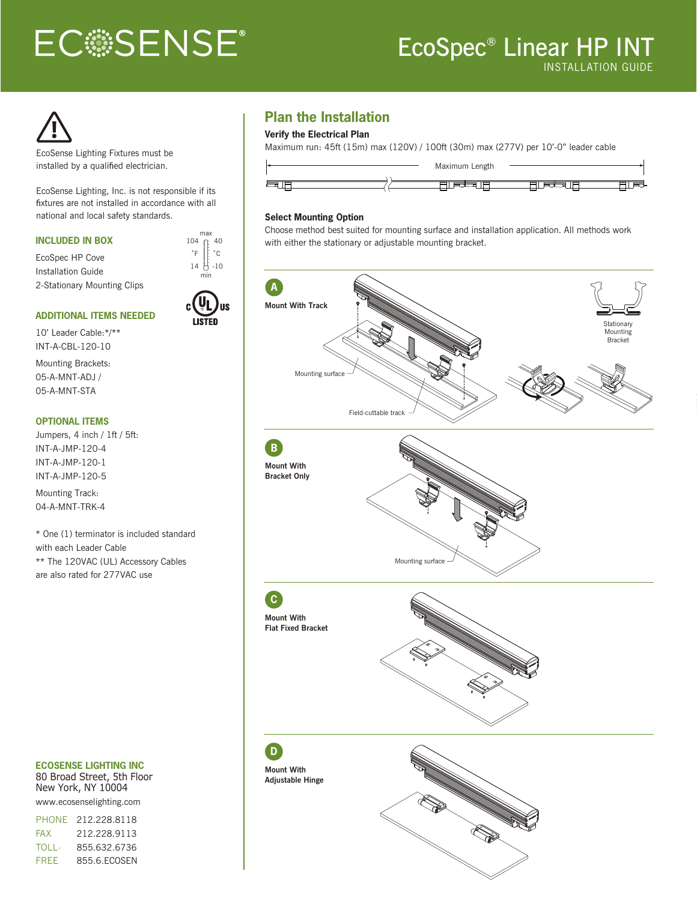# **ECSSENSE®**

## INSTALLATION GUIDE EcoSpec® Linear HP INT



EcoSense Lighting Fixtures must be installed by a qualified electrician.

EcoSense Lighting, Inc. is not responsible if its fixtures are not installed in accordance with all national and local safety standards.

#### **INCLUDED IN BOX**

EcoSpec HP Cove Installation Guide 2-Stationary Mounting Clips



#### **ADDITIONAL ITEMS NEEDED**

10' Leader Cable:\*/\*\* INT-A-CBL-120-10

Mounting Brackets: 05-A-MNT-ADJ / 05-A-MNT-STA

#### **OPTIONAL ITEMS**

Jumpers, 4 inch / 1ft / 5ft: INT-A-JMP-120-4 INT-A-JMP-120-1 INT-A-JMP-120-5

Mounting Track: 04-A-MNT-TRK-4

\* One (1) terminator is included standard with each Leader Cable \*\* The 120VAC (UL) Accessory Cables are also rated for 277VAC use

#### **ECOSENSE LIGHTING INC**

80 Broad Street, 5th Floor New York, NY 10004 www.ecosenselighting.com

PHONE 212.228.8118

| <b>FAX</b>  | 212.228.9113 |
|-------------|--------------|
| TOLL-       | 855.632.6736 |
| <b>FRFF</b> | 855.6.ECOSEN |

#### **Plan the Installation**

#### **Verify the Electrical Plan**

Maximum run: 45ft (15m) max (120V) / 100ft (30m) max (277V) per 10'-0" leader cable



#### **Select Mounting Option**

Choose method best suited for mounting surface and installation application. All methods work with either the stationary or adjustable mounting bracket.